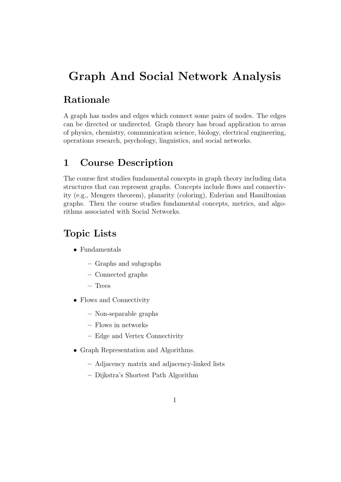# Graph And Social Network Analysis

## Rationale

A graph has nodes and edges which connect some pairs of nodes. The edges can be directed or undirected. Graph theory has broad application to areas of physics, chemistry, communication science, biology, electrical engineering, operations research, psychology, linguistics, and social networks.

#### 1 Course Description

The course first studies fundamental concepts in graph theory including data structures that can represent graphs. Concepts include flows and connectivity (e.g., Mengers theorem), planarity (coloring), Eulerian and Hamiltonian graphs. Then the course studies fundamental concepts, metrics, and algorithms associated with Social Networks.

### Topic Lists

- Fundamentals
	- Graphs and subgraphs
	- Connected graphs
	- Trees
- Flows and Connectivity
	- Non-separable graphs
	- Flows in networks
	- Edge and Vertex Connectivity
- Graph Representation and Algorithms.
	- Adjacency matrix and adjacency-linked lists
	- Dijkstra's Shortest Path Algorithm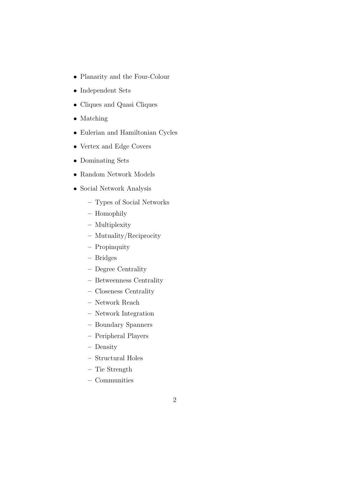- Planarity and the Four-Colour
- Independent Sets
- Cliques and Quasi Cliques
- Matching
- Eulerian and Hamiltonian Cycles
- Vertex and Edge Covers
- Dominating Sets
- Random Network Models
- Social Network Analysis
	- Types of Social Networks
	- Homophily
	- Multiplexity
	- Mutuality/Reciprocity
	- Propinquity
	- Bridges
	- Degree Centrality
	- Betweenness Centrality
	- Closeness Centrality
	- Network Reach
	- Network Integration
	- Boundary Spanners
	- Peripheral Players
	- Density
	- Structural Holes
	- Tie Strength
	- Communities